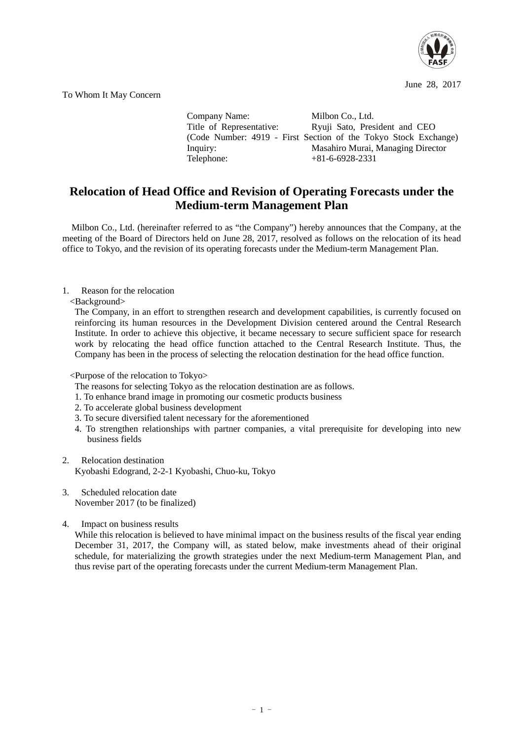

June 28, 2017

To Whom It May Concern

Company Name: Milbon Co., Ltd.<br>Title of Representative: Ryuji Sato, Pres Ryuji Sato, President and CEO (Code Number: 4919 - First Section of the Tokyo Stock Exchange) Inquiry: Masahiro Murai, Managing Director<br>
Telephone: +81-6-6928-2331  $+81-6-6928-2331$ 

## **Relocation of Head Office and Revision of Operating Forecasts under the Medium-term Management Plan**

Milbon Co., Ltd. (hereinafter referred to as "the Company") hereby announces that the Company, at the meeting of the Board of Directors held on June 28, 2017, resolved as follows on the relocation of its head office to Tokyo, and the revision of its operating forecasts under the Medium-term Management Plan.

## 1. Reason for the relocation

<Background>

The Company, in an effort to strengthen research and development capabilities, is currently focused on reinforcing its human resources in the Development Division centered around the Central Research Institute. In order to achieve this objective, it became necessary to secure sufficient space for research work by relocating the head office function attached to the Central Research Institute. Thus, the Company has been in the process of selecting the relocation destination for the head office function.

<Purpose of the relocation to Tokyo>

- The reasons for selecting Tokyo as the relocation destination are as follows.
- 1. To enhance brand image in promoting our cosmetic products business
- 2. To accelerate global business development
- 3. To secure diversified talent necessary for the aforementioned
- 4. To strengthen relationships with partner companies, a vital prerequisite for developing into new business fields
- 2. Relocation destination Kyobashi Edogrand, 2-2-1 Kyobashi, Chuo-ku, Tokyo
- 3. Scheduled relocation date November 2017 (to be finalized)
- 4. Impact on business results

While this relocation is believed to have minimal impact on the business results of the fiscal year ending December 31, 2017, the Company will, as stated below, make investments ahead of their original schedule, for materializing the growth strategies under the next Medium-term Management Plan, and thus revise part of the operating forecasts under the current Medium-term Management Plan.